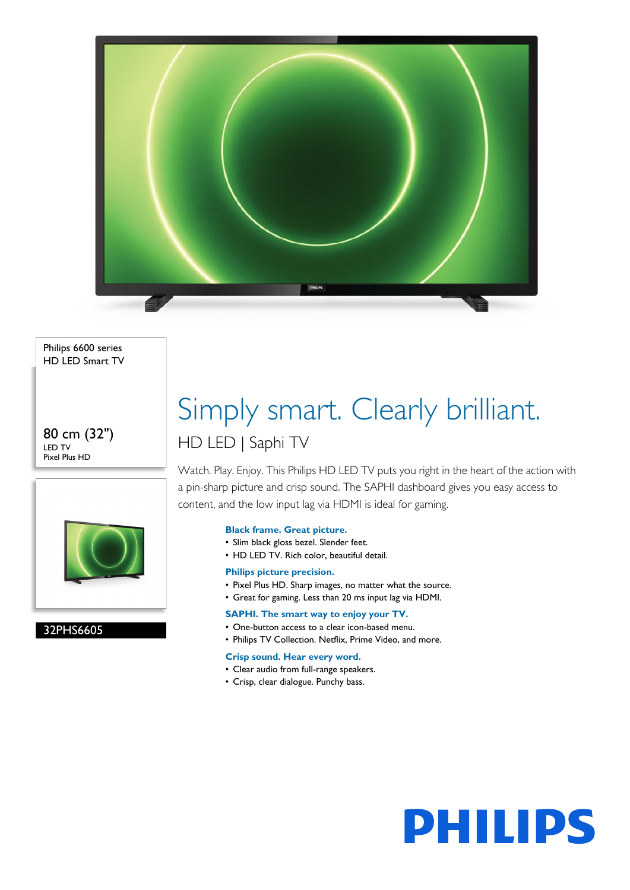

Philips 6600 series HD LED Smart TV

80 cm (32") LED TV Pixel Plus HD



32PHS6605

# Simply smart. Clearly brilliant. HD LED | Saphi TV

Watch. Play. Enjoy. This Philips HD LED TV puts you right in the heart of the action with a pin-sharp picture and crisp sound. The SAPHI dashboard gives you easy access to content, and the low input lag via HDMI is ideal for gaming.

# **Black frame. Great picture.**

- Slim black gloss bezel. Slender feet.
- HD LED TV. Rich color, beautiful detail.
- **Philips picture precision.**
- Pixel Plus HD. Sharp images, no matter what the source.
- Great for gaming. Less than 20 ms input lag via HDMI.

# **SAPHI. The smart way to enjoy your TV.**

- One-button access to a clear icon-based menu.
- Philips TV Collection. Netflix, Prime Video, and more.

# **Crisp sound. Hear every word.**

- Clear audio from full-range speakers.
- Crisp, clear dialogue. Punchy bass.

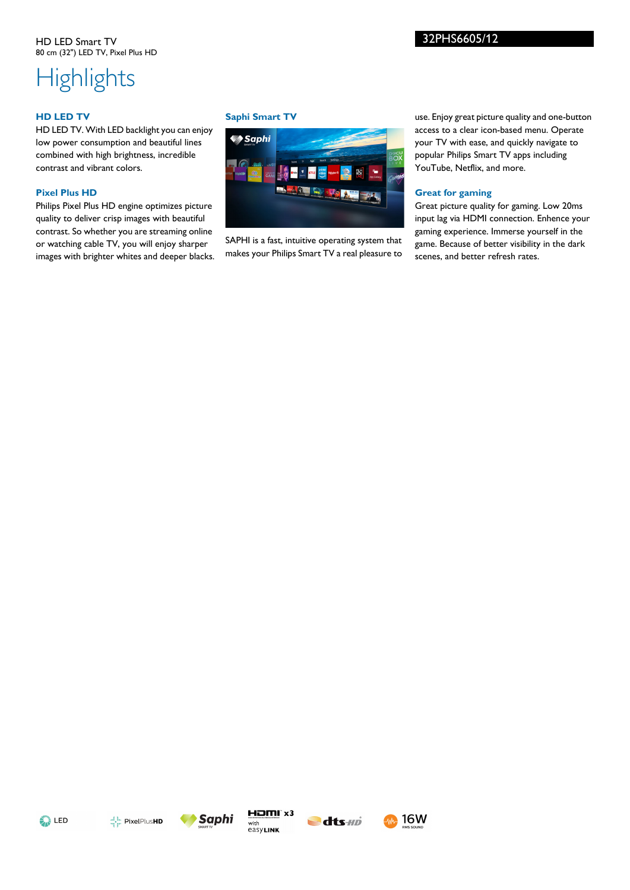# 32PHS6605/12

# **Highlights**

### **HD LED TV**

HD LED TV. With LED backlight you can enjoy low power consumption and beautiful lines combined with high brightness, incredible contrast and vibrant colors.

### **Pixel Plus HD**

Philips Pixel Plus HD engine optimizes picture quality to deliver crisp images with beautiful contrast. So whether you are streaming online or watching cable TV, you will enjoy sharper images with brighter whites and deeper blacks.

#### **Saphi Smart TV**



SAPHI is a fast, intuitive operating system that makes your Philips Smart TV a real pleasure to

use. Enjoy great picture quality and one-button access to a clear icon-based menu. Operate your TV with ease, and quickly navigate to popular Philips Smart TV apps including YouTube, Netflix, and more.

#### **Great for gaming**

Great picture quality for gaming. Low 20ms input lag via HDMI connection. Enhence your gaming experience. Immerse yourself in the game. Because of better visibility in the dark scenes, and better refresh rates.









**16W**